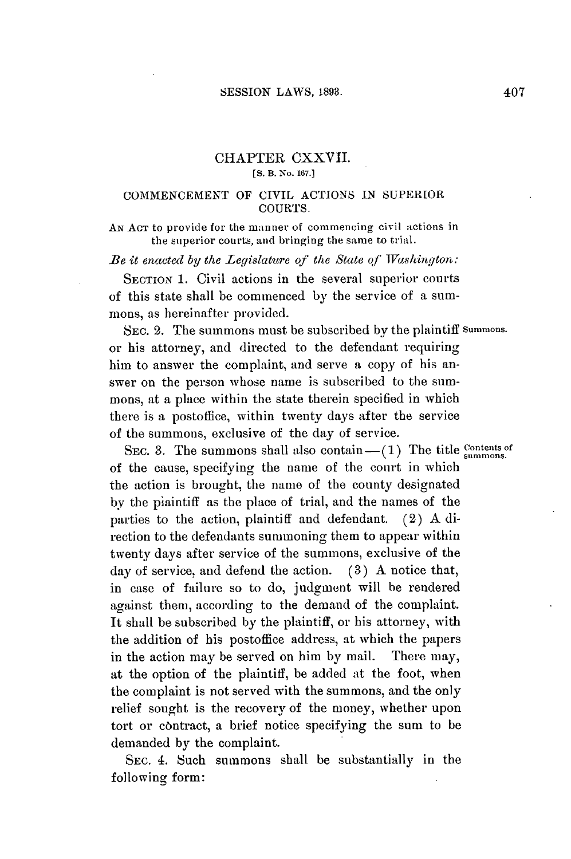## CHAPTER CXXVII. **[S. B. No. 167.]**

## **COMMENCElMENT** OF CIVIL **ACTIONS IN** SUPERIOR **COURTS.**

**AN ACT** to provide for the manner of commencing civil actions in the superior courts, and bringing the same to trial.

Be *it enacted by the Legislature qf* the State of Washington:

**SECTION 1.** Civil actions in the several superior courts of this state shall be commenced **by** the service of a summons, as hereinafter provided.

**SEC.** 2. The summons must be subscribed **by** the plaintiff **summons.** or his attorney, and directed to the defendant requiring him to answer the complaint, and serve a copy of his answer on the person whose name is subscribed to the summons, at a place within the state therein specified in which there is a postoffice, within twenty days after the service of the summons, exclusive of the day of service.

SEC. 3. The summons shall also contain  $-$ (1) The title **Contents of** of the cause, specifying the name of the court in which the action is brought, the name of the county designated **by** the piaintiff as the place of trial, and the names of the parties to the action, plaintiff and defendant. (2) **A** direction to the defendants summoning them to appear within twenty days after service of the summons, exclusive of the day of service, and defend the action. **(3) A** notice that, in case of failure so to do, judgment will be rendered against them, according to the demand of the complaint. It shall be subscribed **by** the plaintiff, or his attorney, with the addition of his postoffice address, at which the papers in the action may be served on him **by** mail. There may, at the option of the plaintiff, be added at the foot, when the complaint is not served with the summons, and the only relief sought is the recovery of the money, whether upon tort or contract, a brief notice specifying the sum to be demanded **by** the complaint.

**SEC. 4.** Such summons shall be substantially in the following form: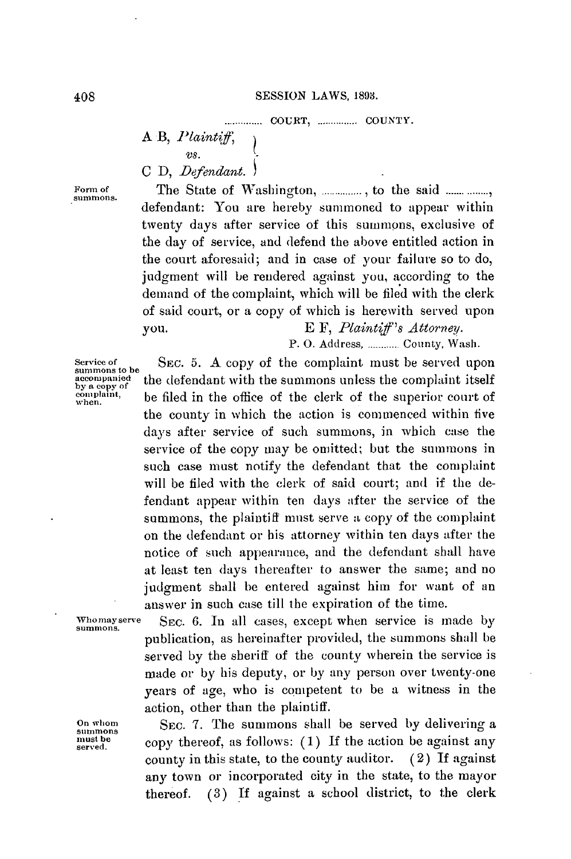**<sup>A</sup>**B, *Plaint* if  $2.8<sub>1</sub>$ **C D,** *Defendant.*

Form of The State of Washington, ..............., to the said ....... ........, defendant: You are hereby summoned to appear within twenty days after service of this summons, exclusive of the day of service, and defend the above entitled action in the court aforesaid; and in case of your failure so to do, judgment will be rendered against you, according to the demand of the complaint, which will be filed with the clerk of said court, or a copy of which is herewith served upon **you. E** F, *Plaintif's Attorney.*

P. **0.** Address, **............** County, Wash.

Service of **SEC. 5. A copy of the complaint must be served upon** summons unless the complaint itself **accompanied** the defendant with the summons unless the complaint itself by a copy of the summaring count of complaint. **complaint,** be filed in the office of the clerk of the superior court of the county in which the action is commenced within five days after service of such summons, in which case the service of the copy may be omitted; but the summons in such case must notify the defendant that the complaint will be filed with the clerk of said court; and if the defendant appear within ten days after the service of the summons, the plaintiff must serve a copy of the complaint on the defendant or his attorney within ten days after the notice of such appearance, and the defendant shall have at least ten days thereafter to answer the same; and no judgment shall be entered against him for want of an answer in such case till the expiration of the time.

**Whomayserve SEC. 6.** In all cases, except when service is made **by summons.** publication, as hereinafter provided, the summons shall be served **by** the sheriff of the county wherein the service is made or **by** his deputy, or **by** any person over twenty-one years of age, who is competent to be a witness in the action, other than the plaintiff.

On whom **SEC. 7.** The summons shall be served by delivering a summons shall be served by delivering a must be **must be served.** copy thereof, as follows: **(1) If** the action **be** against any county in this state, to the county auditor. (2) **If** against any town or incorporated city in the state, to the mayor thereof. **(3) If** against a school district, to the clerk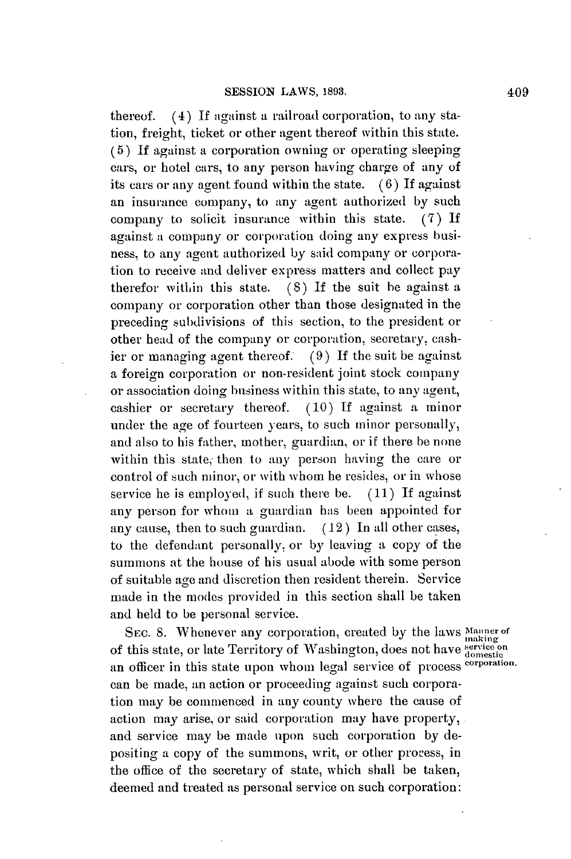thereof. (4) **If** against a railroad corporation, to any station, freight, ticket or other agent thereof within this state. **(5) If** against a corporation owning or operating sleeping cars, or hotel cars, to any person having charge of any of its cars or any agent found within the state. **(6)** If against an insurance company, to any agent authorized **by** such company to solicit insurance within this state. **(7) If** against a company or corporation doing any express business, to any agent authorized **by** said company or corporation to receive and deliver express matters and collect pay therefor within this state. **(8) If** the suit be against a company or corporation other than those designated in the preceding subdivisions of this section, to the president or other head of the company or corporation, secretary, cashier or managing agent thereof. **(9) If** the suit be against a foreign corporation or non-resident joint stock company or association doing business within this state, to any agent, cashier or secretary thereof. **(10) If** against a minor under the age of fourteen years, to such minor personally, and also to his father, mother, guardian, or if there be none within this state, then to any person having the care or control of such minor, or with whom he resides, or in whose service he is employed, if such there be. **(11) If** against any person for whom a guardian has been appointed for any cause, then to such guardian. **(12)** In **all** other cases, to the defendant personally. or **by** leaving **a** copy of the summons at the house of his usual abode with some person of suitable age and discretion then resident therein. Service made in the modes provided in this section shall be taken and held to be personal service.

**SEc. 8.** Whenever any corporation, created **by** the laws **Mnner of**  $\overline{\text{SEC}}$ .  $\overline{\text{O}}$ . Whenever any corporation, created by the raws  $\overline{\text{mask}}$  of this state, or late Territory of Washington, does not have  $\overline{\text{density}}$ an officer in this state upon whom legal service of process **corporation.** can be made, an action or proceeding against such corporation may be commenced in any county where the cause of action may arise, or said corporation may have property, and service may be made upon such corporation **by** depositing a copy of the summons, writ, or other process, in the office of the secretary of state, which shall be taken, deemed and treated as personal service on such corporation: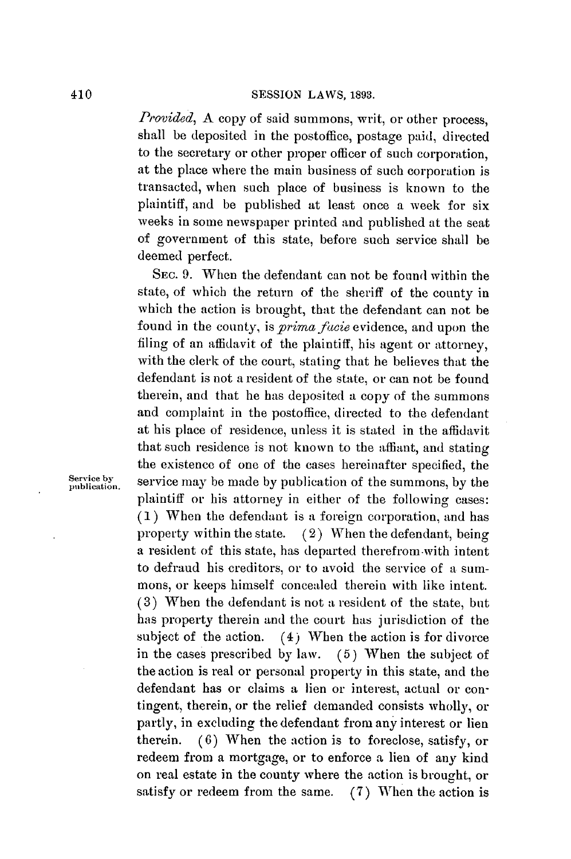## 410 **SESSION** LAWS, **1893.**

*Provided*, A copy of said summons, writ, or other process, shall be deposited in the postoffice, postage paid, directed to the secretary or other proper officer of such corporation, at the place where the main business of such corporation is transacted, when such place of business is known to the plaintiff, and be published at least once a week for six weeks in some newspaper printed and published at the seat of government of this state, before such service shall be deemed perfect.

**SEC. 9.** When the defendant can not be found within the state, of which the return of the sheriff of the county in which the action is brought, that the defendant can not be found in the county, is *prima fawie* evidence, and upon the filing of an affidavit of the plaintiff, his agent or attorney, with the clerk of the court, stating that he believes that the defendant is not a resident of the state, or can not be found therein, and that he has deposited a copy of the summons and complaint in the postoffice, directed to the defendant at his place of residence, unless it is stated in the affidavit that such residence is not known to the affiant, and stating the existence of one of the cases hereinafter specified, the Service by service may be made by publication of the summons, by the plaintiff or his attorney in either of the following cases: **(1)** When the defendant is a foreign corporation, and has property within the state.  $(2)$  When the defendant, being a resident of this state, has departed therefrom-with intent to defraud his creditors, or to avoid the service of a summons, or keeps himself concealed therein with like intent. **(3)** When the defendant is not a resident of the state, but has property therein and the court has jurisdiction of the subject of the action.  $(4)$  When the action is for divorce in the cases prescribed **by** law. **(5)** When the subject of the action is real or personal property in this state, and the defendant has or claims a lien or interest, actual or contingent, therein, or the relief demanded consists wholly, or partly, in excluding the defendant from any interest or lien therein. **(6)** When the action is to foreclose, satisfy, or redeem from a mortgage, or to enforce a lien of any kind on real estate in the county where the action is brought, or satisfy or redeem from the same. **(7)** When the action is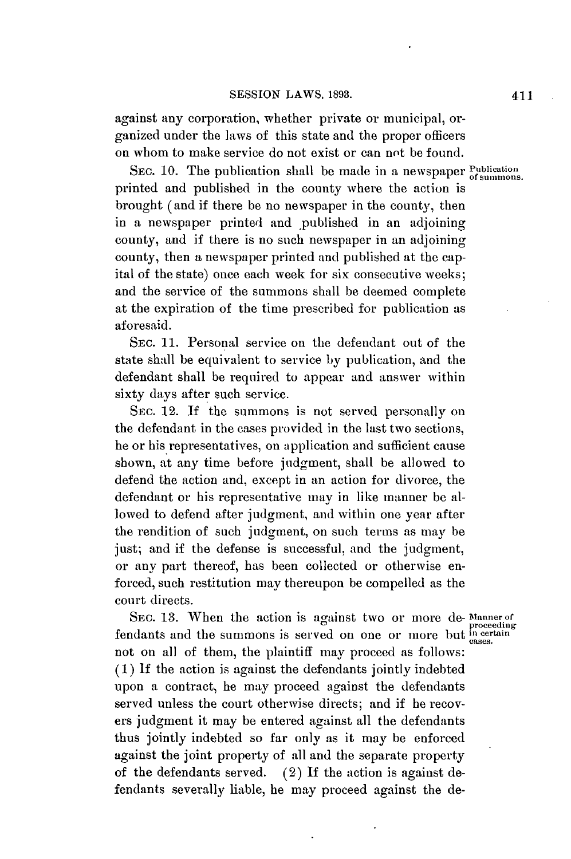against any corporation, whether private or municipal, organized under the laws of this state and the proper officers on whom to make service do not exist or can not be found.

SEC. 10. The publication shall be made in a newspaper **Publication** printed and published in the county where the action is brought (and if there be no newspaper in the county, then in a newspaper printed and published in an adjoining county, and if there is no such newspaper in an adjoining county, then a newspaper printed and published at the capital of the state) once each week for six consecutive weeks; and the service of the summons shall be deemed complete at the expiration of the time prescribed for publication as aforesaid.

**SEC. 11.** Personal service on the defendant out of the state shall be equivalent to service **by** publication, and the defendant shall be required to appear and answer within sixty days after such service.

**SEC.** 12. **If** the summons is not served personally on the defendant in the cases provided in the last two sections, he or his representatives, on application and sufficient cause shown, at any time before judgment, shall be allowed to defend the action and, except in an action for divorce, the defendant or his representative may in like manner be allowed to defend after judgment, and within one year after the rendition of such judgment, on such terms as may be just; and if the defense is successful, and the judgment, or any part thereof, has been collected or otherwise enforced, such restitution may thereupon be compelled as the court directs.

SEC. 13. When the action is against two or more de- Manner of proceeding fendants and the summons is served on one or more but in certain not on all of them, the plaintiff may proceed as **follows: (1) If** the action is against the defendants jointly indebted upon a contract, he may proceed against the defendants served unless the court otherwise directs; and if he recovers judgment it may be entered against all the defendants thus jointly indebted so far only as it may be enforced against the joint property of **all** and the separate property of the defendants served. (2) **If** the action is against defendants severally liable, he may proceed against the de-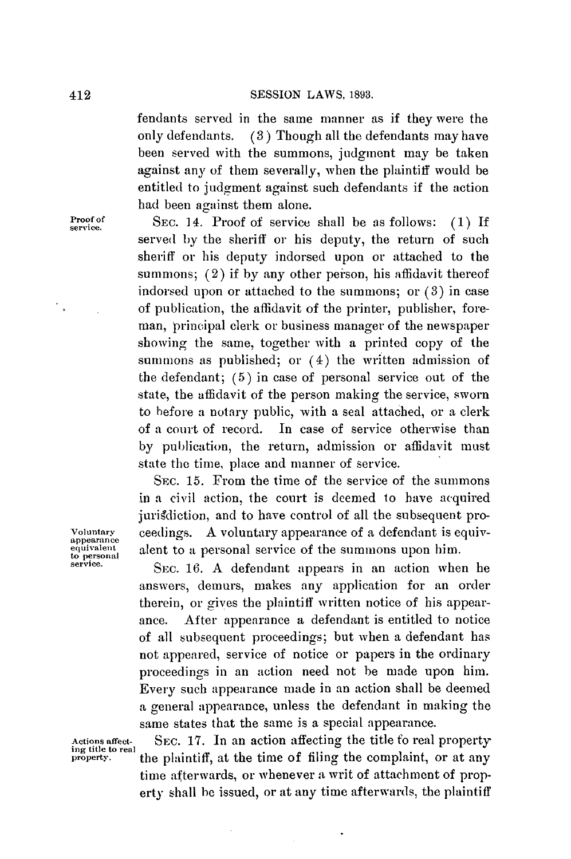fendants served in the same manner as if they were the only defendants. **(3)** Though all the defendants may have been served with the summons, judgment may be taken against any of them severally, when the plaintiff would be entitled to judgment against such defendants if the action had been against them alone.

**Proof of SEC.** 14. Proof of service shall be as follows: **(1)** If **service.** served **by** the sheriff or his deputy, the return of such sheriff or his deputy indorsed upon or attached to the summons; (2) if by any other person, his affidavit thereof indorsed upon or attached to the summons; or **(3)** in case of publication, the affidavit of the printer, publisher, foreman, principal clerk or business manager of the newspaper showing the same, together with a printed copy of the summons as published; or (4) the written admission of the defendant; **(5)** in case of personal service out of the state, the affidavit of the person making the service, sworn to before **a** notary public, with a seal attached, or a clerk of a court of record. In case of service otherwise than **by** publication, the return, admission or affidavit must state the time, place and manner of service.

SEc. **15.** From the time of the service of the summons in a civil action, the court is deemed to have acquired jurisdiction, and to have control of all the subsequent pro-**Voluntary** ceedings. **A** voluntary appearance of a defendant is equiv- **appearance equivalent** alent to a personal service of the summons upon him.

SEC. 16. A defendant appears in an action when he answers, demurs, makes any application for an order therein, or gives the plaintiff written notice of his appearance. After appearance a defendant is entitled to notice of all subsequent proceedings; but when a defendant has not appeared, service of notice or papers in the ordinary proceedings in an action need not be made upon him. Every such appearance made in an action shall be deemed a general appearance, unless the defendant in making the same states that the same is a special appearance.

Actions affect-<br>
ing title to real<br>
property.<br> **ing the complaint.** Or at any<br> **interproperty.** the plaintiff, at the time of filing the complaint, or at any time afterwards, or whenever a writ of attachment of property shall **be** issued, or at any time afterwards, the plaintiff

 $\ddot{\phantom{0}}$ 

 $\overline{\phantom{a}}$  ,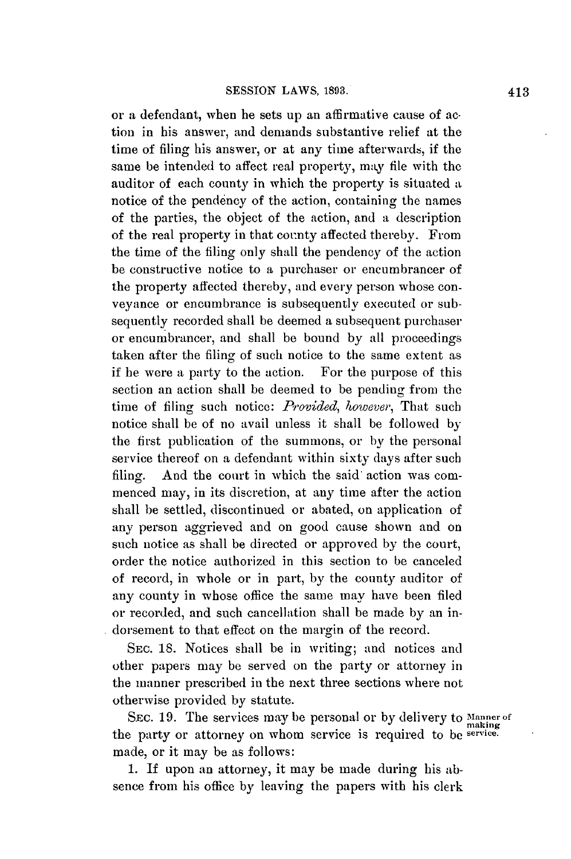or a defendant, when he sets up an affirmative cause of action in his answer, and demands substantive relief at the time of filing his answer, or at any time afterwards, if the same be intended to affect real property, may file with the auditor of each county in which the property is situated a notice of the pendency of the action, containing the names of the parties, the object of the action, and a description of the real property in that county affected thereby. From the time of the filing only shall the pendency of the action be constructive notice to a purchaser or encumbrancer of the property affected thereby, and every person whose conveyance or encumbrance is subsequently executed or subsequently recorded shall be deemed a subsequent purchaser or encumbrancer, and shall be bound **by** all proceedings taken after the filing of such notice to the same extent as if he were a party to the action. For the purpose of this section an action shall be deemed to be pending from the time of filing such notice: *Provided, however,* That such notice shall be of no avail unless it shall be followed **by** the first publication of the summons, or by the personal service thereof on a defendant within sixty days after such filing. And the court in which the said action was commenced may, in its discretion, at any time after the action shall be settled, discontinued or abated, on application of any person aggrieved and on good cause shown and on such notice as shall be directed or approved **by** the court, order the notice authorized in this section to be canceled of record, in whole or in part, **by** the county auditor of any county in whose office the same may have been filed or recorded, and such cancellation shall be made **by** an indorsement to that effect on the margin of the record.

**SEC. 18.** Notices shall be in writing; and notices and other papers may **be** served on the party or attorney in the manner prescribed in the next three sections where not otherwise provided **by** statute.

SEC. 19. The services may be personal or by delivery to Manner of miaking the party or attorney on whom service is required to be service. made, or it may be as follows:

**1. If** upon an attorney, it may be made during his absence from his office **by** leaving the papers with his clerk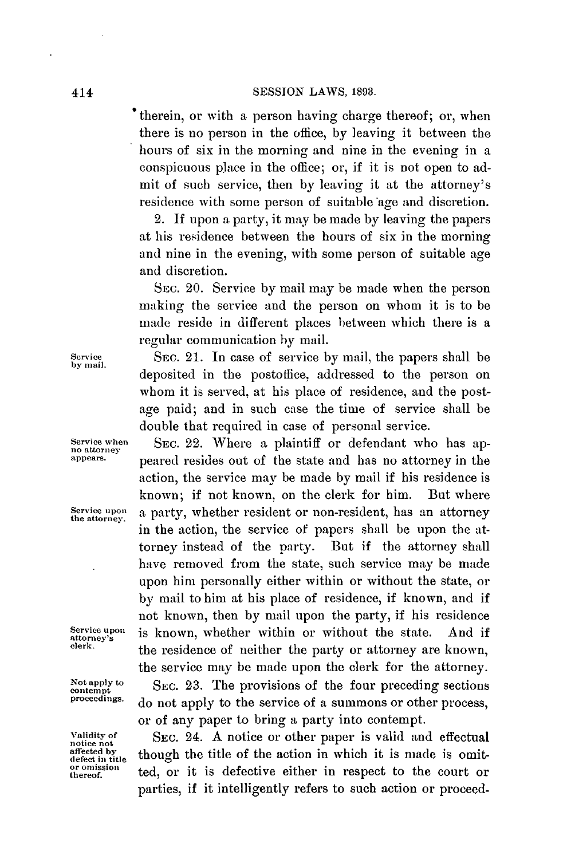therein, or with a person having charge thereof; or, when there is no person in the office, **by** leaving it between the hours of six in the morning and nine in the evening in a conspicuous place in the office; or, if it is not open to admit of such service, then **by** leaving it at the attorney's residence with some person of suitable age and discretion.

2. **If** upon a party, it may be made **by** leaving the papers at his residence between the hours of six in the morning and nine in the evening, with some person of suitable age and discretion.

**SEc.** 20. Service **by** mail may be made when the person making the service and the person on whom it is to be made reside in different places between which there is a regular communication **by** mail.

**Service** SEc. 21. In case of service **by** mail, the papers shall be deposited in the postoflice, addressed to the person on whom it is served, at his place of residence, and the postage paid; and in such case the time of service shall be double that required in case of personal service.

Service when SEC. 22. Where a plaintiff or defendant who has appears.<br> **no attorney property property property property property property property property property property property property prop appears.** peared resides out of the state and has no attorney in the action, the service may be made **by** mail if his residence is known; if not known, on the clerk for him. But where **Service upon** a party, whether resident or non-resident, has an attorney **the attorney.'** in the action, the service of papers shall be upon the attorney instead of the party. But if the attorney shall have removed from the state, such service may be made upon him personally either within or without the state, or **by** mail to him at his place of residence, if known, and if not known, then **by** mail upon the party, if his residence Service upon is known, whether within or without the state. And if attorney's the residence of neither the party or attorney are known, the service may be made upon the clerk for the attorney.

Not apply to SEC. 23. The provisions of the four preceding sections proceedings.  $\frac{1}{2}$  and small to the convice of a summang an other precess. do not apply to the service of a summons or other process, or of any paper to bring a party into contempt.

Validity of SEC. 24. A notice or other paper is valid and effectual notice not the value of the action in which it is made is omit **fectn i** though the title of the action in which it is made is omit- **affecte by** though znmce mt **or onlission** . . ted, or it is defective either in respect to the court or parties, if it intelligently refers to such action or proceed-

**by mail.**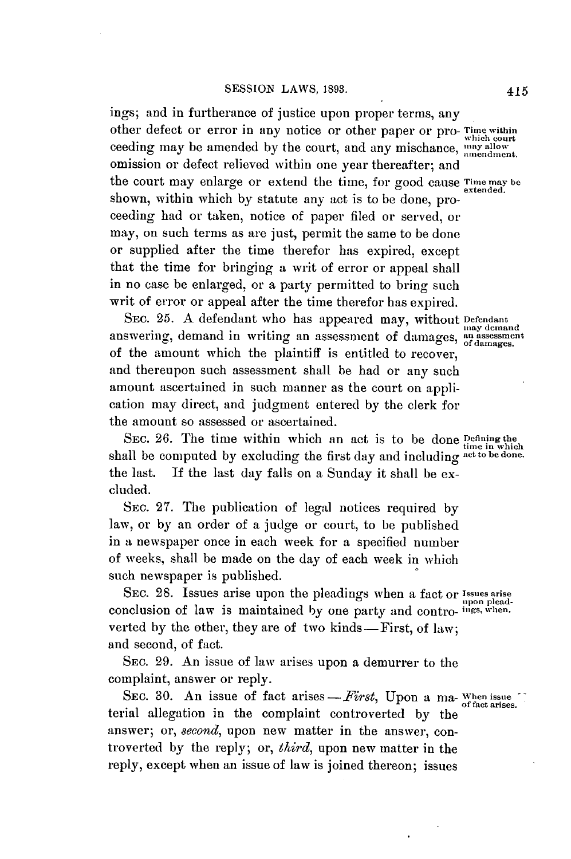ings; and in furtherance of justice upon proper terms, any other defect or error in any notice or other paper or pro- Time **within** which court ceeding may be amended by the court, and any mischance, **may allow** omission or defect relieved within one year thereafter; and the court may enlarge or extend the time, for good cause Time may be shown, within which **by** statute any act is to be done, proceeding had or taken, notice of paper filed or served, or may, on such terms as are just, permit the same to be done or supplied after the time therefor has expired, except that the time for bringing a writ of error or appeal shall in no case be enlarged, or a party permitted to bring such writ of error or appeal after the time therefor has expired.

SEC. 25. A defendant who has appeared may, without Defendant answering, demand in writing an assessment of damages, an assessment of the amount which the plaintiff is entitled to recover, and thereupon such assessment shall be had or any such amount ascertained in such manner as the court on application may direct, and judgment entered **by** the clerk for the amount so assessed or ascertained.

SEC. 26. The time within which an act is to be done **Defining** the time in which shall be computed **by** excluding the first day and including **act to be done.** the last. **If** the last day falls on a Sunday it shall be excluded.

SEC. **27.** The publication of legal notices required **by** law, or **by** an order of a judge or court, to be published in a newspaper once in each week for a specified number of weeks, shall be made on the day of each week in which such newspaper is published.

SEc. **28.** Issues arise upon the pleadings when a fact or **Issues arise ZD** upon pleadconclusion of law is maintained **by** one party and contro- **ings, when.** verted by the other, they are of two kinds—First, of law; and second, of fact.

SEc. **29.** An issue of law arises upon a demurrer to the complaint, answer or reply.

SEC. 30. An issue of fact arises - First, Upon a ma-Whenissue terial allegation in the complaint controverted **by** the answer; or, *second*, upon new matter in the answer, controverted **by** the reply; or, *third,* upon new matter in the reply, except when an issue of law is joined thereon; issues

of fact arises.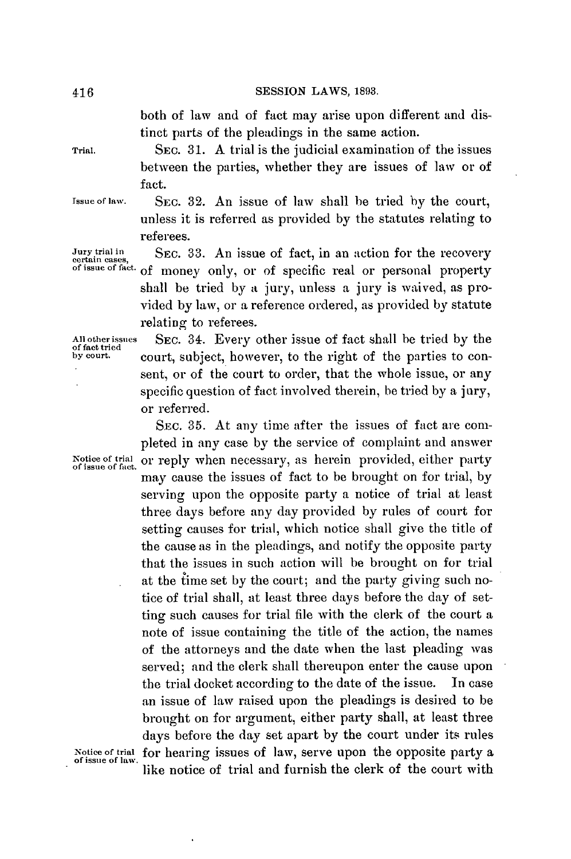## **SESSION** LAWS, **1893.**

both of law and of fact may arise upon different and distinct parts of the pleadings in the same action.

**Trial.** SEC. **31. A** trial is the judicial examination of the issues between the parties, whether they are issues of law or of fact.

**Tssue of law.** SEc. **32.** An issue of law shall be tried **by** the court, unless it is referred as provided **by** the statutes relating to referees.

**Jury trial in** SEc. **33.** An issue of fact, in an action for the recovery **certain cases, of issue of fact.** of money only, or of specific real or personal property shall be tried **by** a jury, unless a jury is waived, as provided **by** law, or a reference ordered, as provided **by** statute relating to referees.

**Allotherissues** SEc. **34.** Every other issue of fact shall be tried **by** the **of fact tried** court, subject, however, to the right of the parties to consent, or of the court to order, that the whole issue, or any specific question of fact involved therein, be tried **by** a jury, or referred.

SEc. **35.** At any time after the issues of fact are completed in any case **by** the service of complaint and answer Notice of trial or reply when necessary, as herein provided, either party of issue of fact. may cause the issues of fact to be brought on for trial, **by** serving upon the opposite party a notice of trial at least three days before any day provided **by** rules of court for setting causes for trial, which notice shall give the title of the cause as in the pleadings, and notify the opposite party that the issues in such action will be brought on for trial at the iime set **by** the court; and the party giving such notice of trial shall, at least three days before the day of setting such causes for trial file with the clerk of the court a note of issue containing the title of the action, the names of the attorneys and the date when the last pleading was served; and the clerk shall thereupon enter the cause upon the trial docket according to the date of the issue. In case an issue of law raised upon the pleadings is desired to be brought on for argument, either party shall, at least three days before the day set apart **by** the court under its rules Notice of trial for hearing issues of law, serve upon the opposite party a of issue of law. like notice of trial and furnish the clerk of the court with